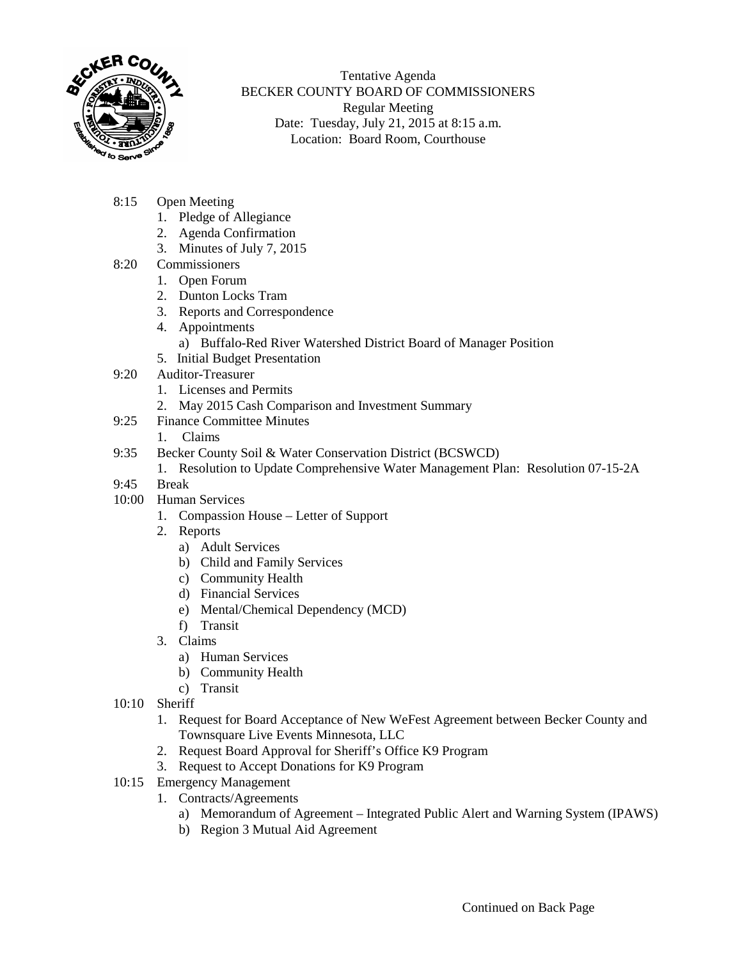

Tentative Agenda BECKER COUNTY BOARD OF COMMISSIONERS Regular Meeting Date: Tuesday, July 21, 2015 at 8:15 a.m. Location: Board Room, Courthouse

- 8:15 Open Meeting
	- 1. Pledge of Allegiance
	- 2. Agenda Confirmation
	- 3. Minutes of July 7, 2015
- 8:20 Commissioners
	- 1. Open Forum
	- 2. Dunton Locks Tram
	- 3. Reports and Correspondence
	- 4. Appointments
		- a) Buffalo-Red River Watershed District Board of Manager Position
	- 5. Initial Budget Presentation
- 9:20 Auditor-Treasurer
	- 1. Licenses and Permits
	- 2. May 2015 Cash Comparison and Investment Summary
- 9:25 Finance Committee Minutes
	- 1. Claims
- 9:35 Becker County Soil & Water Conservation District (BCSWCD)
	- 1. Resolution to Update Comprehensive Water Management Plan: Resolution 07-15-2A
- 9:45 Break
- 10:00 Human Services
	- 1. Compassion House Letter of Support
	- 2. Reports
		- a) Adult Services
		- b) Child and Family Services
		- c) Community Health
		- d) Financial Services
		- e) Mental/Chemical Dependency (MCD)
		- f) Transit
	- 3. Claims
		- a) Human Services
		- b) Community Health
		- c) Transit
- 10:10 Sheriff
	- 1. Request for Board Acceptance of New WeFest Agreement between Becker County and Townsquare Live Events Minnesota, LLC
	- 2. Request Board Approval for Sheriff's Office K9 Program
	- 3. Request to Accept Donations for K9 Program
- 10:15 Emergency Management
	- 1. Contracts/Agreements
		- a) Memorandum of Agreement Integrated Public Alert and Warning System (IPAWS)
		- b) Region 3 Mutual Aid Agreement